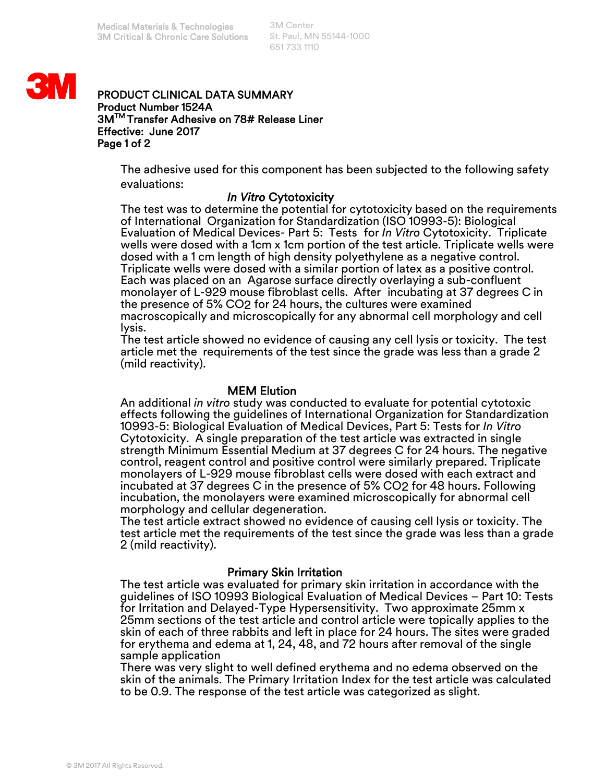3M Center St. Paul, MN 55144-1000 651 733 1110



#### PRODUCT CLINICAL DATA SUMMARY Product Number 1524A 3MTM Transfer Adhesive on 78# Release Liner Effective: June 2017 Page 1 of 2

The adhesive used for this component has been subjected to the following safety evaluations:

### *In Vitro* Cytotoxicity

The test was to determine the potential for cytotoxicity based on the requirements of International Organization for Standardization (ISO 10993-5): Biological Evaluation of Medical Devices- Part 5: Tests for *In Vitro* Cytotoxicity. Triplicate wells were dosed with a 1cm x 1cm portion of the test article. Triplicate wells were dosed with a 1 cm length of high density polyethylene as a negative control. Triplicate wells were dosed with a similar portion of latex as a positive control. Each was placed on an Agarose surface directly overlaying a sub-confluent monolayer of L-929 mouse fibroblast cells. After incubating at 37 degrees C in the presence of 5% CO2 for 24 hours, the cultures were examined macroscopically and microscopically for any abnormal cell morphology and cell lysis.

The test article showed no evidence of causing any cell lysis or toxicity. The test article met the requirements of the test since the grade was less than a grade 2 (mild reactivity).

## MEM Elution

An additional *in vitro* study was conducted to evaluate for potential cytotoxic effects following the guidelines of International Organization for Standardization 10993-5: Biological Evaluation of Medical Devices, Part 5: Tests for *In Vitro*  Cytotoxicity. A single preparation of the test article was extracted in single strength Minimum Essential Medium at 37 degrees C for 24 hours. The negative control, reagent control and positive control were similarly prepared. Triplicate monolayers of L-929 mouse fibroblast cells were dosed with each extract and incubated at 37 degrees C in the presence of 5% CO2 for 48 hours. Following incubation, the monolayers were examined microscopically for abnormal cell morphology and cellular degeneration.

The test article extract showed no evidence of causing cell lysis or toxicity. The test article met the requirements of the test since the grade was less than a grade 2 (mild reactivity).

### Primary Skin Irritation

The test article was evaluated for primary skin irritation in accordance with the guidelines of ISO 10993 Biological Evaluation of Medical Devices – Part 10: Tests for Irritation and Delayed-Type Hypersensitivity. Two approximate 25mm x 25mm sections of the test article and control article were topically applies to the skin of each of three rabbits and left in place for 24 hours. The sites were graded for erythema and edema at 1, 24, 48, and 72 hours after removal of the single sample application

There was very slight to well defined erythema and no edema observed on the skin of the animals. The Primary Irritation Index for the test article was calculated to be 0.9. The response of the test article was categorized as slight.